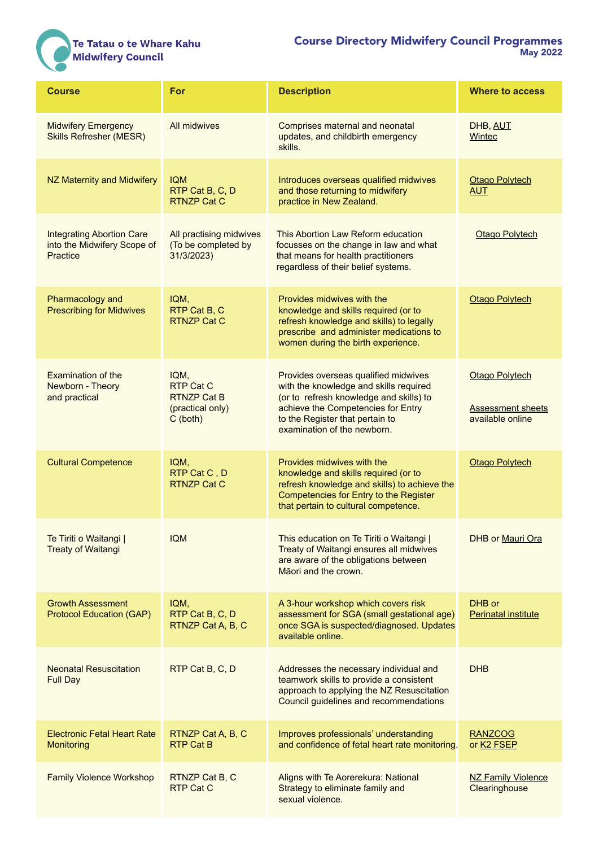## Te Tatau o te Whare Kahu<br>Midwifery Council

| <b>Course</b>                                                               | For                                                                              | <b>Description</b>                                                                                                                                                                                                                | <b>Where to access</b>                                                |
|-----------------------------------------------------------------------------|----------------------------------------------------------------------------------|-----------------------------------------------------------------------------------------------------------------------------------------------------------------------------------------------------------------------------------|-----------------------------------------------------------------------|
| <b>Midwifery Emergency</b><br><b>Skills Refresher (MESR)</b>                | All midwives                                                                     | Comprises maternal and neonatal<br>updates, and childbirth emergency<br>skills.                                                                                                                                                   | DHB, AUT<br>Wintec                                                    |
| NZ Maternity and Midwifery                                                  | <b>IQM</b><br>RTP Cat B, C, D<br><b>RTNZP Cat C</b>                              | Introduces overseas qualified midwives<br>and those returning to midwifery<br>practice in New Zealand.                                                                                                                            | <b>Otago Polytech</b><br><b>AUT</b>                                   |
| <b>Integrating Abortion Care</b><br>into the Midwifery Scope of<br>Practice | All practising midwives<br>(To be completed by<br>31/3/2023)                     | This Abortion Law Reform education<br>focusses on the change in law and what<br>that means for health practitioners<br>regardless of their belief systems.                                                                        | <b>Otago Polytech</b>                                                 |
| Pharmacology and<br><b>Prescribing for Midwives</b>                         | IQM,<br>RTP Cat B, C<br><b>RTNZP Cat C</b>                                       | Provides midwives with the<br>knowledge and skills required (or to<br>refresh knowledge and skills) to legally<br>prescribe and administer medications to<br>women during the birth experience.                                   | <b>Otago Polytech</b>                                                 |
| <b>Examination of the</b><br>Newborn - Theory<br>and practical              | IQM,<br><b>RTP Cat C</b><br><b>RTNZP Cat B</b><br>(practical only)<br>$C$ (both) | Provides overseas qualified midwives<br>with the knowledge and skills required<br>(or to refresh knowledge and skills) to<br>achieve the Competencies for Entry<br>to the Register that pertain to<br>examination of the newborn. | <b>Otago Polytech</b><br><b>Assessment sheets</b><br>available online |
| <b>Cultural Competence</b>                                                  | IQM,<br>RTP Cat C, D<br><b>RTNZP Cat C</b>                                       | Provides midwives with the<br>knowledge and skills required (or to<br>refresh knowledge and skills) to achieve the<br>Competencies for Entry to the Register<br>that pertain to cultural competence.                              | Otago Polytech                                                        |
| Te Tiriti o Waitangi  <br><b>Treaty of Waitangi</b>                         | <b>IQM</b>                                                                       | This education on Te Tiriti o Waitangi  <br>Treaty of Waitangi ensures all midwives<br>are aware of the obligations between<br>Māori and the crown.                                                                               | <b>DHB or Mauri Ora</b>                                               |
| <b>Growth Assessment</b><br><b>Protocol Education (GAP)</b>                 | IQM,<br>RTP Cat B, C, D<br>RTNZP Cat A, B, C                                     | A 3-hour workshop which covers risk<br>assessment for SGA (small gestational age)<br>once SGA is suspected/diagnosed. Updates<br>available online.                                                                                | DHB or<br><b>Perinatal institute</b>                                  |
| <b>Neonatal Resuscitation</b><br><b>Full Day</b>                            | RTP Cat B, C, D                                                                  | Addresses the necessary individual and<br>teamwork skills to provide a consistent<br>approach to applying the NZ Resuscitation<br>Council guidelines and recommendations                                                          | <b>DHB</b>                                                            |
| <b>Electronic Fetal Heart Rate</b><br><b>Monitoring</b>                     | RTNZP Cat A, B, C<br><b>RTP Cat B</b>                                            | Improves professionals' understanding<br>and confidence of fetal heart rate monitoring.                                                                                                                                           | <b>RANZCOG</b><br>or K <sub>2</sub> FSEP                              |
| <b>Family Violence Workshop</b>                                             | RTNZP Cat B, C<br>RTP Cat C                                                      | Aligns with Te Aorerekura: National<br>Strategy to eliminate family and<br>sexual violence.                                                                                                                                       | <b>NZ Family Violence</b><br>Clearinghouse                            |